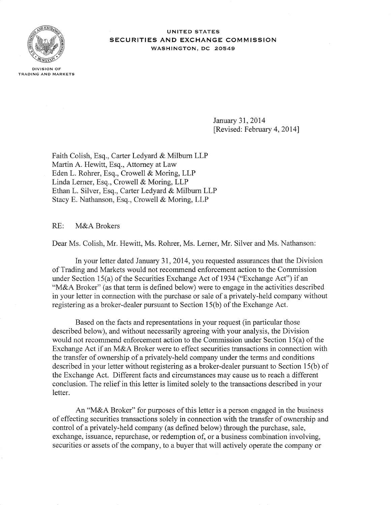

DIVISION OF TRADING AND MARKETS

UNITED STATES SECURITIES AND EXCHANGE COMMISSION WASHINGTON, DC 20549

> January 31, 2014 [Revised: February 4, 2014]

Faith Colish, Esq., Carter Ledyard & Milburn LLP Martin A. Hewitt, Esq., Attorney at Law Eden L. Rohrer, Esq., Crowell & Moring, LLP Linda Lerner, Esq., Crowell & Moring, LLP Ethan L. Silver, Esq., Carter Ledyard & Milburn LLP Stacy E. Nathanson, Esq., Crowell & Moring, LLP

RE: M&A Brokers

Dear Ms. Colish, Mr. Hewitt, Ms. Rohrer, Ms. Lerner, Mr. Silver and Ms. Nathanson:

In your letter dated January 31, 2014, you requested assurances that the Division ofTrading and Markets would not recommend enforcement action to the Commission under Section 15(a) of the Securities Exchange Act of 1934 ("Exchange Act") if an "M&A Broker" (as that term is defined below) were to engage in the activities described in your letter in connection with the purchase or sale of a privately-held company without registering as a broker-dealer pursuant to Section  $15(b)$  of the Exchange Act.

Based on the facts and representations in your request (in particular those described below), and without necessarily agreeing with your analysis, the Division would not recommend enforcement action to the Commission under Section  $15(a)$  of the Exchange Act if an M&A Broker were to effect securities transactions in connection with the transfer of ownership of a privately-held company under the terms and conditions described in your letter without registering as a broker-dealer pursuant to Section 15(b) of the Exchange Act. Different facts and circumstances may cause us to reach a different conclusion. The relief in this letter is limited solely to the transactions described in your letter.

An "M&A Broker" for purposes of this letter is a person engaged in the business of effecting securities transactions solely in connection with the transfer of ownership and control of a privately-held company (as defined below) through the purchase, sale, exchange, issuance, repurchase, or redemption of, or a business combination involving, securities or assets of the company, to a buyer that will actively operate the company or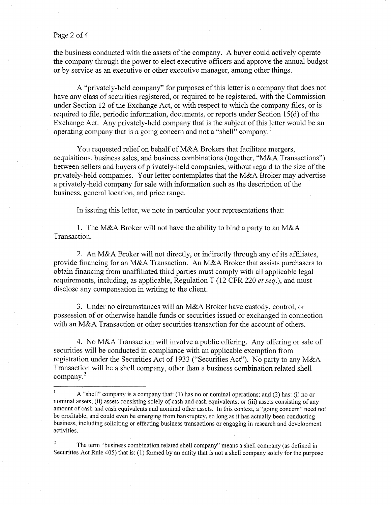#### Page 2 of 4

the business conducted with the assets of the company. A buyer could actively operate the company through the power to elect executive officers and approve the annual budget or by service as an executive or other executive manager, among other things.

A "privately-held company" for purposes of this letter is a company that does not have any class of securities registered, or required to be registered, with the Commission under Section 12 of the Exchange Act, or with respect to which the company files, or is required to file, periodic information, documents, or reports under Section  $15(d)$  of the Exchange Act. Any privately-held company that is the subject of this letter would be an operating company that is a going concern and not a "shell" company.<sup>1</sup>

You requested relief on behalf of M&A Brokers that facilitate mergers, acquisitions, business sales, and business combinations (together, "M&A Transactions") between sellers and buyers of privately-held companies, without regard to the size of the privately-held companies. Your letter contemplates that the M&A Broker may advertise a privately-held company for sale with information such as the description of the business, general location, and price range.

In issuing this letter, we note in particular your representations that:

1. The M&A Broker will not have the ability to bind a party to an M&A Transaction.

2. An M&A Broker will not directly, or indirectly through any of its affiliates, provide financing for an M&A Transaction. An M&A Broker that assists purchasers to obtain financing from unaffiliated third parties must comply with all applicable legal requirements, including, as applicable, Regulation T (12 CFR 220 *et seq.),* and must disclose any compensation in writing to the client.

3. Under no circumstances will an M&A Broker have custody, control, or possession of or otherwise handle funds or securities issued or exchanged in connection with an M&A Transaction or other securities transaction for the account of others.

4. No M&A Transaction will involve a public offering. Any offering or sale of securities will be conducted in compliance with an applicable exemption from registration under the Securities Act of 1933 ("Securities Act"). No party to any M&A Transaction will be a shell company, other than a business combination related shell <sup>2</sup> company.

 $\mathbf{1}$ A "shell" company is a company that: (I) has no or nominal operations; and (2) has: (i) no or nominal assets; (ii) assets consisting solely of cash and cash equivalents; or (iii) assets consisting of any amount of cash and cash equivalents and nominal other assets. In this context, a "going concern" need not be profitable, and could even be emerging from bankruptcy, so long as it has actually been conducting business, including soliciting or effecting business transactions or engaging in research and development activities.

The tenn "business combination related shell company" means a shell company (as defined in Securities Act Rule 405) that is: (1) fonned by an entity that is not a shell company solely for the purpose 2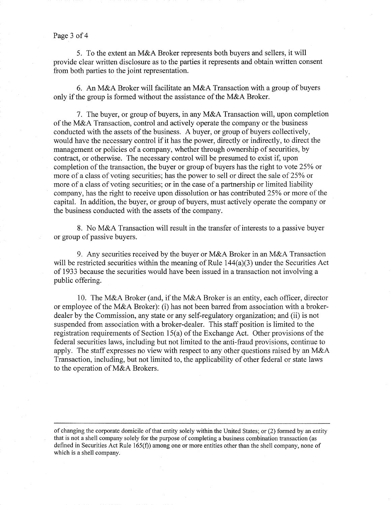#### Page 3 of 4

5. To the extent an M&A Broker represents both buyers and sellers, it will provide clear written disclosure as to the parties it represents and obtain written consent from both parties to the joint representation.

6. An M&A Broker will facilitate an M&A Transaction with a group of buyers only if the group is formed without the assistance of the M&A Broker.

7. The buyer, or group of buyers, in any M&A Transaction will, upon completion of the M&A Transaction, control and actively operate the company or the business conducted with the assets of the business. A buyer, or group of buyers collectively, would have the necessary control if it has the power, directly or indirectly, to direct the management or policies of a company, whether through ownership of securities, by contract, or otherwise. The necessary control will be presumed to exist if, upon completion of the transaction, the buyer or group of buyers has the right to vote 25% or more of a class of voting securities; has the power to sell or direct the sale of 25% or more of a class of voting securities; or in the case of a partnership or limited liability company, has the right to receive upon dissolution or has contributed 25% or more of the capital. In addition, the buyer, or group of buyers, must actively operate the company or the business conducted with the assets of the company.

8. No M&A Transaction will result in the transfer of interests to a passive buyer or group of passive buyers.

9. Any securities received by the buyer or M&A Broker in an M&A Transaction will be restricted securities within the meaning of Rule 144(a)(3) under the Securities Act of 1933 because the securities would have been issued in a transaction not involving a public offering.

10. The M&A Broker (and, if the M&A Broker is an entity, each officer, director or employee of the M&A Broker): (i) has not been barred from association with a brokerdealer by the Commission, any state or any self-regulatory organization; and (ii) is not suspended from association with a broker-dealer. This staff position is limited to the registration requirements of Section  $15(a)$  of the Exchange Act. Other provisions of the federal securities laws, including but not limited to the anti-fraud provisions, continue to apply. The staff expresses no view with respect to any other questions raised by an M&A Transaction, including, but not limited to, the applicability of other federal or state laws to the operation of M&A Brokers.

of changing the corporate domicile of that entity solely within the United States; or (2) formed by an entity that is not a shell company solely for the purpose of completing a business combination transaction (as defined in Securities Act Rule 165(f)) among one or more entities other than the shell company, none of which is a shell company.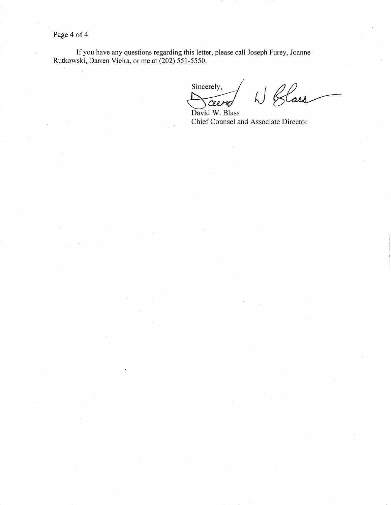Page 4 of 4

If you have any questions regarding this letter, please call Joseph Furey, Joanne Rutkowski, Darren Vieira, or me at (202) 551-5550.

Sincerely,<br> $\frac{1}{\sqrt{2e\mu}}$   $\frac{1}{\sqrt{2e\mu}}$ 

Chief Counsel and Associate Director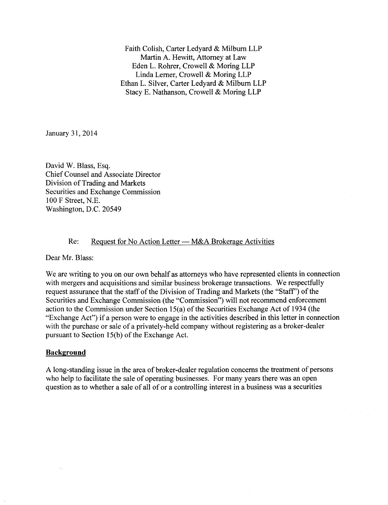Faith Colish, Carter Ledyard & Milburn LLP Martin A. Hewitt, Attorney at Law Eden L. Rohrer, Crowell & Moring LLP Linda Lerner, Crowell & Moring LLP Ethan L. Silver, Carter Ledyard & Milburn LLP Stacy E. Nathanson, Crowell & Moring LLP

January 31, 2014

David W. Blass, Esq. Chief Counsel and Associate Director Division of Trading and Markets Securities and Exchange Commission 100 F Street, N.E. Washington, D.C. 20549

## Re: Request for No Action Letter — M&A Brokerage Activities

Dear Mr. Blass:

We are writing to you on our own behalf as attorneys who have represented clients in connection with mergers and acquisitions and similar business brokerage transactions. We respectfully request assurance that the staff of the Division of Trading and Markets (the "Staff") of the Securities and Exchange Commission (the "Commission") will not recommend enforcement action to the Commission under Section  $15(a)$  of the Securities Exchange Act of 1934 (the "Exchange Act") if a person were to engage in the activities described in this letter in connection with the purchase or sale of a privately-held company without registering as a broker-dealer pursuant to Section  $15(b)$  of the Exchange Act.

### **Background**

A long-standing issue in the area of broker-dealer regulation concerns the treatment of persons who help to facilitate the sale of operating businesses. For many years there was an open question as to whether a sale of all of or a controlling interest in a. business was a securities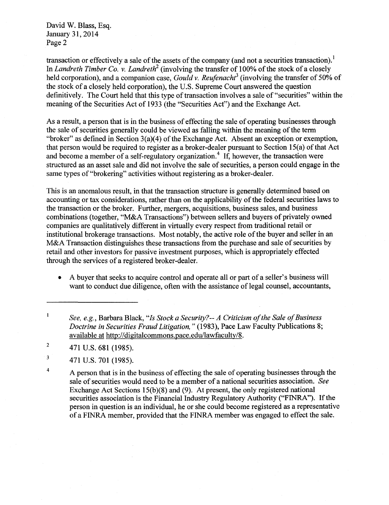transaction or effectively a sale of the assets of the company (and not a securities transaction).<sup>1</sup> In *Landreth Timber Co. v. Landreth*<sup>2</sup> (involving the transfer of 100% of the stock of a closely held corporation), and a companion case, *Gould v. Reufenacht*<sup>3</sup> (involving the transfer of 50% of the stock of a closely held corporation), the U.S. Supreme Court answered the question definitively. The Court held that this type of transaction involves a sale of "securities" within the meaning of the Securities Act of 1933 (the "Securities Act") and the Exchange Act.

As a result, a person that is in the business of effecting the sale of operating businesses through the sale of securities generally could be viewed as falling within the meaning of the term "broker" as defined in Section  $3(a)(4)$  of the Exchange Act. Absent an exception or exemption, that person would be required to register as a broker-dealer pursuant to Section  $15(a)$  of that Act and become a member of a self-regulatory organization.<sup>4</sup> If, however, the transaction were structured as an asset sale and did not involve the sale of securities, a person could engage in the same types of"brokering" activities without registering as a broker-dealer.

This is an anomalous result, in that the transaction structure is generally determined based on accounting or tax considerations, rather than on the applicability of the federal securities laws to the transaction or the broker. Further, mergers, acquisitions, business sales, and business combinations (together, "M&A Transactions") between sellers and buyers of privately owned companies are qualitatively different in virtually every respect from traditional retail or institutional brokerage transactions. Most notably, the active role of the buyer and seller in an M&A Transaction distinguishes these transactions from the purchase and sale of securities by retail and other investors for passive investment purposes, which is appropriately effected through the services of a registered broker-dealer.

• A buyer that seeks to acquire control and operate all or part of a seller's business will want to conduct due diligence, often with the assistance of legal counsel, accountants,

<sup>2</sup>  $471 \text{ U.S. } 681 \text{ (1985)}.$ 

 $3$  471 U.S. 701 (1985).

<sup>4</sup> A person that is in the business of effecting the sale of operating businesses through the sale of securities would need to be a member of a national securities association. *See*  Exchange Act Sections  $15(b)(8)$  and (9). At present, the only registered national securities association is the Financial Industry Regulatory Authority ("FINRA"). If the person in question is an individual, he or she could become registered as a representative of a FINRA member, provided that the FINRA member was engaged to effect the sale.

 $\mathbf{l}$ *See, e.g., Barbara Black, "Is Stock a Security?-- A Criticism of the Sale of Business Doctrine in Securities Fraud Litigation,"* (1983), Pace Law Faculty Publications 8; available at http://digitalcommons.pace.edu/lawfaculty/8.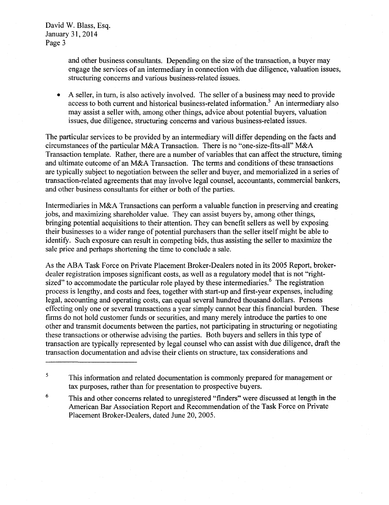> and other business consultants. Depending on the size of the transaction, a buyer may engage the services of an intermediary in connection with due diligence, valuation issues, structuring concerns and various business-related issues.

A seller, in turn, is also actively involved. The seller of a business may need to provide access to both current and historical business-related information.<sup>5</sup> An intermediary also may assist a seller with, among other things, advice about potential buyers, valuation issues, due diligence, structuring concerns and various business-related issues.

The particular services to be provided by an intermediary will differ depending on the facts and circumstances of the particular M&A Transaction. There is no "one-size-fits-all" M&A Transaction template. Rather, there are a number of variables that can affect the structure, timing and ultimate outcome of an M&A Transaction. The terms and conditions of these transactions are typically subject to negotiation between the seller and buyer, and memorialized in a series of transaction-related agreements that may involve legal counsel, accountants, commercial bankers, and other business consultants for either or both of the parties.

Intermediaries in M&A Transactions can perform a valuable function in preserving and creating jobs, and maximizing shareholder value. They can assist buyers by, among other things, bringing potential acquisitions to their attention. They can benefit sellers as well by exposing their businesses to a wider range of potential purchasers than the seller itself might be able to identify. Such exposure can result in competing bids, thus assisting the seller to maximize the sale price and perhaps shortening the time to conclude a sale.

As the ABA Task Force on Private Placement Broker-Dealers noted in its 2005 Report, brokerdealer registration imposes significant costs, as well as a regulatory model that is not "rightsized" to accommodate the particular role played by these intermediaries.<sup>6</sup> The registration process is lengthy, and costs and fees, together with start-up and first-year expenses, including legal, accounting and operating costs, can equal several hundred thousand dollars. Persons effecting only one or several transactions a year simply cannot bear this financial burden. These firms do not hold customer funds or securities, and many merely introduce the parties to one other and transmit documents between the parties, not participating in structuring or negotiating these transactions or otherwise advising the parties. Both buyers and sellers in this type of transaction are typically represented by legal counsel who can assist with due diligence, draft the transaction documentation and advise their clients on structure, tax considerations and

<sup>&</sup>lt;sup>5</sup>This information and related documentation is commonly prepared for management or tax purposes, rather than for presentation to prospective buyers.

<sup>&</sup>lt;sup>6</sup> This and other concerns related to unregistered "finders" were discussed at length in the American Bar Association Report and Recommendation of the Task Force on Private Placement Broker-Dealers, dated June 20, 2005.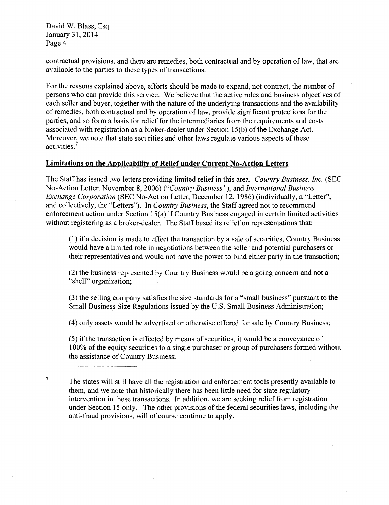contractual provisions, and there are remedies, both contractual and by operation of law, that are available to the parties to these types of transactions.

For the reasons explained above, efforts should be made to expand, not contract, the number of persons who can provide this service. We believe that the active roles and business objectives of each seller and buyer, together with the nature of the underlying transactions and the availability of remedies, both contractual and by operation of law, provide significant protections for the parties, and so form a basis for relief for the intermediaries from the requirements and costs associated with registration as a broker-dealer under Section  $15(b)$  of the Exchange Act. Moreover, we note that state securities and other laws regulate various aspects of these activities.<sup>7</sup>

# **Limitations on the Applicability of Relief under Current No-Action Letters**

The Staff has issued two letters providing limited relief in this area. *Country Business, Inc.* (SEC No-Action Letter, November 8, 2006) *("Country Business"),* and *International Business Exchange Corporation* (SEC No-Action Letter, December 12, 1986) (individually, a "Letter", and collectively, the "Letters"). In *Country Business,* the Staff agreed not to recommend enforcement action under Section 15(a) if Country Business engaged in certain limited activities without registering as a broker-dealer. The Staff based its relief on representations that:

(1) if a decision is made to effect the transaction by a sale of securities, Country Business would have a limited role in negotiations between the seller and potential purchasers or their representatives and would not have the power to bind either party in the transaction;

(2) the business represented by Country Business would be a going concern and not a "shell" organization;

(3) the selling company satisfies the size standards for a "small business" pursuant to the Small Business Size Regulations issued by the U.S. Small Business Administration;

(4) only assets would be advertised or otherwise offered for sale by Country Business;

(5) if the transaction is effected by means of securities, it would be a conveyance of 1 00% of the equity securities to a single purchaser or group of purchasers formed without the assistance of Country Business:

The states will still have all the registration and enforcement tools presently available to them, and we note that historically there has been little need for state regulatory intervention in these transactions. In addition, we are seeking relief from registration under Section 15 only. The other provisions of the federal securities laws, including the anti-fraud provisions, will of course continue to apply. 7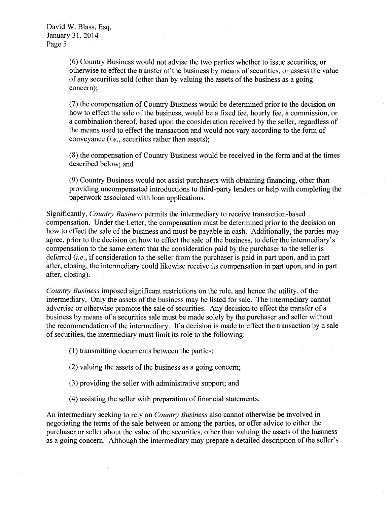(6) Country Business would not advise the two parties whether to issue securities, or otherwise to effect the transfer of the business by means of securities, or assess the value of any securities sold (other than by valuing the assets of the business as a going concern);

(7) the compensation of Country Business would be determined prior to the decision on how to effect the sale of the business, would be a fixed fee, hourly fee, a commission, or a combination thereof, based upon the consideration received by the seller, regardless of the means used to effect the transaction and would not vary according to the form of conveyance *(i.e.,* securities rather than assets);

(8) the compensation of Country Business would be received in the form and at the times described below; and

(9) Country Business would not assist purchasers with obtaining financing, other than providing uncompensated introductions to third-party lenders or help with completing the paperwork associated with loan applications.

Significantly, *Country Business* permits the intermediary to receive transaction-based compensation. Under the Letter, the compensation must be determined prior to the decision on how to effect the sale of the business and must be payable in cash. Additionally, the parties may agree, prior to the decision on how to effect the sale of the business, to defer the intermediary's compensation to the same extent that the consideration paid by the purchaser to the seller is deferred *(i.e.,* if consideration to the seller from the purchaser is paid in part upon, and in part after, closing, the intermediary could likewise receive its compensation in part upon, and in part after, closing).

*Country Business* imposed significant restrictions on the role, and hence the utility, of the intermediary. Only the assets of the business may be listed for sale. The intermediary cannot advertise or otherwise promote the sale of securities. Any decision to effect the transfer of a business by means of a securities sale must be made solely by the purchaser and seller without the recommendation of the intermediary. If a decision is made to effect the transaction by a sale of securities, the intermediary must limit its role to the following:

(1) transmitting documents between the parties;

(2) valuing the assets of the business as a going concern;

(3) providing the seller with administrative support; and

(4) assisting the seller with preparation of financial statements.

An intermediary seeking to rely on *Country Business* also cannot otherwise be involved in negotiating the terms of the sale between or among the parties, or offer advice to either the purchaser or seller about the value of the securities, other than valuing the assets of the business as a going concern. Although the intermediary may prepare a detailed description of the seller's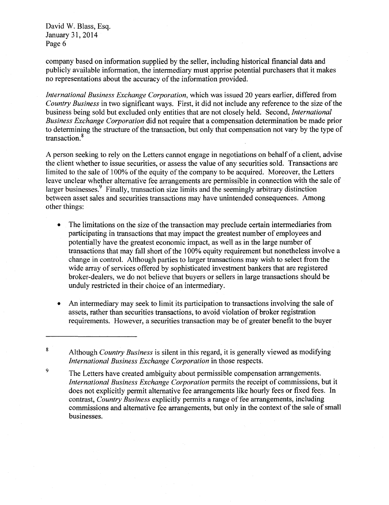company based on information supplied by the seller, including historical financial data and publicly available information, the intermediary must apprise potential purchasers that it makes no representations about the accuracy of the information provided.

*International Business Exchange Corporation,* which was issued 20 years earlier, differed from *Country Business* in two significant ways. First, it did not include any reference to the size of the business being sold but excluded only entities that are not closely held. Second, *International Business Exchange Corporation* did not require that a compensation determination be made prior to determining the structure of the transaction, but only that compensation not vary by the type of transaction.<sup>8</sup>

A person seeking to rely on the Letters cannot engage in negotiations on behalf of a client, advise the client whether to issue securities, or assess the value of any securities sold. Transactions are limited to the sale of 100% of the equity of the company to be acquired. Moreover, the Letters leave unclear whether alternative fee arrangements are permissible in connection with the sale of larger businesses. $\frac{9}{5}$  Finally, transaction size limits and the seemingly arbitrary distinction between asset sales and securities transactions may have unintended consequences. Among other things:

- The limitations on the size of the transaction may preclude certain intermediaries from participating in transactions that may impact the greatest number of employees and potentially have the greatest economic impact, as well as in the large number of transactions that may fall short of the 1 00% equity requirement but nonetheless involve a change in control. Although parties to larger transactions may wish to select from the wide array of services offered by sophisticated investment bankers that are registered broker-dealers, we do not believe that buyers or sellers in large transactions should be unduly restricted in their choice of an intermediary.
- An intermediary may seek to limit its participation to transactions involving the sale of assets, rather than securities transactions, to avoid violation of broker registration requirements. However, a securities transaction may be of greater benefit to the buyer

<sup>8</sup> Although *Country Business* is silent in this regard, it is generally viewed as modifying *International Business Exchange Corporation* in those respects.

<sup>&</sup>lt;sup>9</sup> The Letters have created ambiguity about permissible compensation arrangements. *International Business Exchange Corporation* permits the receipt of commissions, but it does not explicitly permit alternative fee arrangements like hourly fees or fixed fees. In contrast, *Country Business* explicitly permits a range of fee arrangements, including commissions and alternative fee arrangements, but only in the context of the sale of small businesses.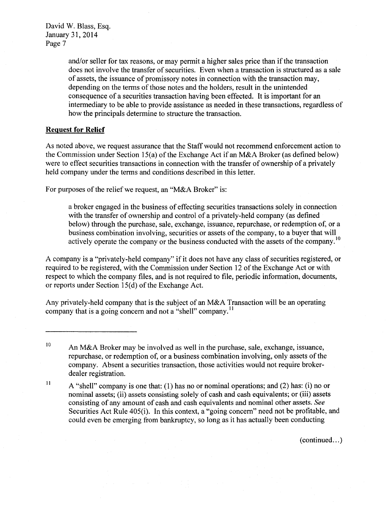> and/or seller for tax reasons, or may permit a higher sales price than if the transaction does not involve the transfer of securities. Even when a transaction is structured as a sale of assets, the issuance of promissory notes in connection with the transaction may, depending on the terms of those notes and the holders, result in the unintended consequence of a securities transaction having been effected. It is important for an intermediary to be able to provide assistance as needed in these transactions, regardless of how the principals determine to structure the transaction.

# **Request for Relief**

As noted above, we request assurance that the Staff would not recommend enforcement action to the Commission under Section 15(a) of the Exchange Act if an M&A Broker (as defined below) were to effect securities transactions in connection with the transfer of ownership of a privately held company under the terms and conditions described in this letter.

For purposes of the relief we request, an "M&A Broker" is:

a broker engaged in the business of effecting securities transactions solely in connection with the transfer of ownership and control of a privately-held company (as defined below) through the purchase, sale, exchange, issuance, repurchase, or redemption of, or a business combination involving, securities or assets of the company, to a buyer that will actively operate the company or the business conducted with the assets of the company.<sup>10</sup>

A company is a "privately-held company" if it does not have any class of securities registered, or required to be registered, with the Commission under Section 12 of the Exchange Act or with respect to which the company files, and is not required to file, periodic information, documents, or reports under Section  $15(d)$  of the Exchange Act.

Any privately-held company that is the subject of an M&A Transaction will be an operating company that is a going concern and not a "shell" company.<sup>11</sup>

 $(continued...)$ 

<sup>&</sup>lt;sup>10</sup> An M&A Broker may be involved as well in the purchase, sale, exchange, issuance, repurchase, or redemption of, or a business combination involving, only assets of the company. Absent a securities transaction, those activities would not require brokerdealer registration.

 $11$  A "shell" company is one that: (1) has no or nominal operations; and (2) has: (i) no or nominal assets; (ii) assets consisting solely of cash and cash equivalents; or (iii) assets consisting of any amount of cash and cash equivalents and nominal other assets. *See*  Securities Act Rule 405(i). In this context, a "going concern" need not be profitable, and could even be emerging from bankruptcy, so long as it has actually been conducting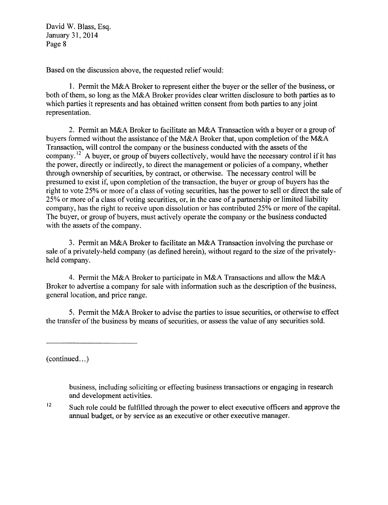Based on the discussion above, the requested relief would:

1. Permit the M&A Broker to represent either the buyer or the seller ofthe business, or both of them, so long as the M&A Broker provides clear written disclosure to both parties as to which parties it represents and has obtained written consent from both parties to any joint representation.

2. Permit an M&A Broker to facilitate an M&A Transaction with a buyer or a group of buyers formed without the assistance of the M&A Broker that, upon completion of the M&A Transaction, will control the company or the business conducted with the assets of the company.<sup>12</sup> A buyer, or group of buyers collectively, would have the necessary control if it has the power, directly or indirectly, to direct the management or policies of a company, whether through ownership of securities, by contract, or otherwise. The necessary control will be presumed to exist if, upon completion of the transaction, the buyer or group of buyers has the right to vote 25% or more of a class of voting securities, has the power to sell or direct the sale of 25% or more of a class of voting securities, or, in the case of a partnership or limited liability company, has the right to receive upon dissolution or has contributed 25% or more of the capital. The buyer, or group of buyers, must actively operate the company or the business conducted with the assets of the company.

3. Permit an M&A Broker to facilitate an M&A Transaction involving the purchase or sale of a privately-held company (as defined herein), without regard to the size of the privatelyheld company.

4. Permit the M&A Broker to participate in M&A Transactions and allow the M&A Broker to advertise a company for sale with information such as the description of the business, general location, and price range.

5. Permit the M&A Broker to advise the parties to issue securities, or otherwise to effect the transfer of the business by means of securities, or assess the value of any securities sold.

(continued...)

business, including soliciting or effecting business transactions or engaging in research and development activities.

Such role could be fulfilled through the power to elect executive officers and approve the annual budget, or by service as an executive or other executive manager. 12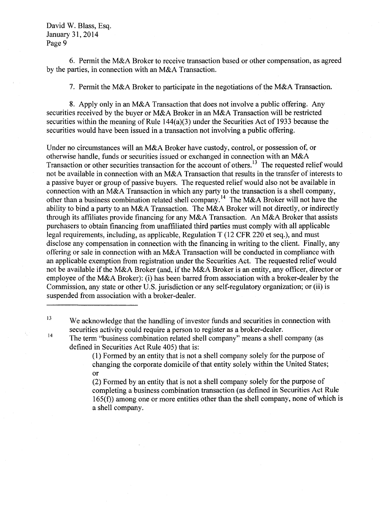6. Permit the M&A Broker to receive transaction based or other compensation, as agreed by the parties, in connection with an M&A Transaction.

7. Permit the M&A Broker to participate in the negotiations ofthe M&A Transaction.

8. Apply only in an M&A Transaction that does not involve a public offering. Any securities received by the buyer or M&A Broker in an M&A Transaction will be restricted securities within the meaning of Rule  $144(a)(3)$  under the Securities Act of 1933 because the securities would have been issued in a transaction not involving a public offering.

Under no circumstances will an M&A Broker have custody, control, or possession of, or otherwise handle, funds or securities issued or exchanged in connection with an M&A Transaction or other securities transaction for the account of others.<sup>13</sup> The requested relief would not be available in connection with an M&A Transaction that results in the transfer of interests to a passive buyer or group of passive buyers. The requested relief would also not be available in connection with an M&A Transaction in which any party to the transaction is a shell company, other than a business combination related shell company.<sup>14</sup> The M&A Broker will not have the ability to bind a party to an M&A Transaction. The M&A Broker will not directly, or indirectly through its affiliates provide financing for any M&A Transaction. An M&A Broker that assists purchasers to obtain financing from unaffiliated third parties must comply with all applicable legal requirements, including, as applicable, Regulation T (12 CFR 220 et seq.), and must disclose any compensation in connection with the financing in writing to the client. Finally, any offering or sale in connection with an M&A Transaction will be conducted in compliance with an applicable exemption from registration under the Securities Act. The requested relief would not be available if the M&A Broker (and, if the M&A Broker is an entity, any officer, director or employee of the M&A Broker): (i) has been barred from association with a broker-dealer by the Commission, any state or other U.S. jurisdiction or any self-regulatory organization; or (ii) is suspended from association with a broker-dealer.

(1) Formed by an entity that is not a shell company solely for the purpose of changing the corporate domicile of that entity solely within the United States; or

(2) Formed by an entity that is not a shell company solely for the purpose of completing a business combination transaction (as defined in Securities Act Rule 165(f)) among one or more entities other than the shell company, none of which is a shell company.

 $13$  We acknowledge that the handling of investor funds and securities in connection with securities activity could require a person to register as a broker-dealer.

 $14$  The term "business combination related shell company" means a shell company (as defined in Securities Act Rule 405) that is: